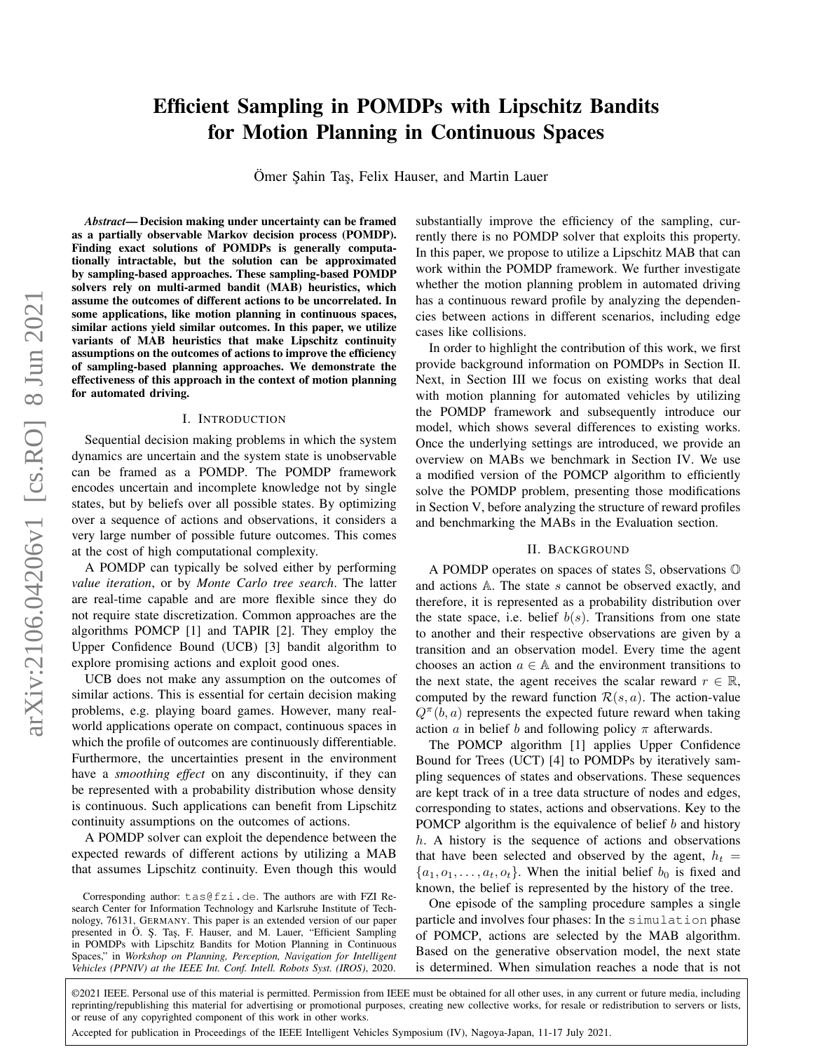# Efficient Sampling in POMDPs with Lipschitz Bandits for Motion Planning in Continuous Spaces

Ömer Sahin Taş, Felix Hauser, and Martin Lauer

*Abstract*— Decision making under uncertainty can be framed as a partially observable Markov decision process (POMDP). Finding exact solutions of POMDPs is generally computationally intractable, but the solution can be approximated by sampling-based approaches. These sampling-based POMDP solvers rely on multi-armed bandit (MAB) heuristics, which assume the outcomes of different actions to be uncorrelated. In some applications, like motion planning in continuous spaces, similar actions yield similar outcomes. In this paper, we utilize variants of MAB heuristics that make Lipschitz continuity assumptions on the outcomes of actions to improve the efficiency of sampling-based planning approaches. We demonstrate the effectiveness of this approach in the context of motion planning for automated driving.

#### I. INTRODUCTION

Sequential decision making problems in which the system dynamics are uncertain and the system state is unobservable can be framed as a POMDP. The POMDP framework encodes uncertain and incomplete knowledge not by single states, but by beliefs over all possible states. By optimizing over a sequence of actions and observations, it considers a very large number of possible future outcomes. This comes at the cost of high computational complexity.

A POMDP can typically be solved either by performing *value iteration*, or by *Monte Carlo tree search*. The latter are real-time capable and are more flexible since they do not require state discretization. Common approaches are the algorithms POMCP [1] and TAPIR [2]. They employ the Upper Confidence Bound (UCB) [3] bandit algorithm to explore promising actions and exploit good ones.

UCB does not make any assumption on the outcomes of similar actions. This is essential for certain decision making problems, e.g. playing board games. However, many realworld applications operate on compact, continuous spaces in which the profile of outcomes are continuously differentiable. Furthermore, the uncertainties present in the environment have a *smoothing effect* on any discontinuity, if they can be represented with a probability distribution whose density is continuous. Such applications can benefit from Lipschitz continuity assumptions on the outcomes of actions.

A POMDP solver can exploit the dependence between the expected rewards of different actions by utilizing a MAB that assumes Lipschitz continuity. Even though this would

Corresponding author: tas@fzi.de. The authors are with FZI Research Center for Information Technology and Karlsruhe Institute of Technology, 76131, GERMANY. This paper is an extended version of our paper presented in Ö. Ş. Taş, F. Hauser, and M. Lauer, "Efficient Sampling in POMDPs with Lipschitz Bandits for Motion Planning in Continuous Spaces," in *Workshop on Planning, Perception, Navigation for Intelligent Vehicles (PPNIV) at the IEEE Int. Conf. Intell. Robots Syst. (IROS)*, 2020.

substantially improve the efficiency of the sampling, currently there is no POMDP solver that exploits this property. In this paper, we propose to utilize a Lipschitz MAB that can work within the POMDP framework. We further investigate whether the motion planning problem in automated driving has a continuous reward profile by analyzing the dependencies between actions in different scenarios, including edge cases like collisions.

In order to highlight the contribution of this work, we first provide background information on POMDPs in Section [II.](#page-0-0) Next, in Section [III](#page-1-0) we focus on existing works that deal with motion planning for automated vehicles by utilizing the POMDP framework and subsequently introduce our model, which shows several differences to existing works. Once the underlying settings are introduced, we provide an overview on MABs we benchmark in Section [IV.](#page-2-0) We use a modified version of the POMCP algorithm to efficiently solve the POMDP problem, presenting those modifications in Section [V,](#page-3-0) before analyzing the structure of reward profiles and benchmarking the MABs in the Evaluation section.

### II. BACKGROUND

<span id="page-0-0"></span>A POMDP operates on spaces of states S, observations O and actions A. The state s cannot be observed exactly, and therefore, it is represented as a probability distribution over the state space, i.e. belief  $b(s)$ . Transitions from one state to another and their respective observations are given by a transition and an observation model. Every time the agent chooses an action  $a \in A$  and the environment transitions to the next state, the agent receives the scalar reward  $r \in \mathbb{R}$ , computed by the reward function  $\mathcal{R}(s, a)$ . The action-value  $Q^{\pi}(b, a)$  represents the expected future reward when taking action a in belief b and following policy  $\pi$  afterwards.

The POMCP algorithm [1] applies Upper Confidence Bound for Trees (UCT) [4] to POMDPs by iteratively sampling sequences of states and observations. These sequences are kept track of in a tree data structure of nodes and edges, corresponding to states, actions and observations. Key to the POMCP algorithm is the equivalence of belief  $b$  and history  $h$ . A history is the sequence of actions and observations that have been selected and observed by the agent,  $h_t =$  $\{a_1, o_1, \ldots, a_t, o_t\}$ . When the initial belief  $b_0$  is fixed and known, the belief is represented by the history of the tree.

One episode of the sampling procedure samples a single particle and involves four phases: In the simulation phase of POMCP, actions are selected by the MAB algorithm. Based on the generative observation model, the next state is determined. When simulation reaches a node that is not

©2021 IEEE. Personal use of this material is permitted. Permission from IEEE must be obtained for all other uses, in any current or future media, including reprinting/republishing this material for advertising or promotional purposes, creating new collective works, for resale or redistribution to servers or lists, or reuse of any copyrighted component of this work in other works.

Accepted for publication in Proceedings of the IEEE Intelligent Vehicles Symposium (IV), Nagoya-Japan, 11-17 July 2021.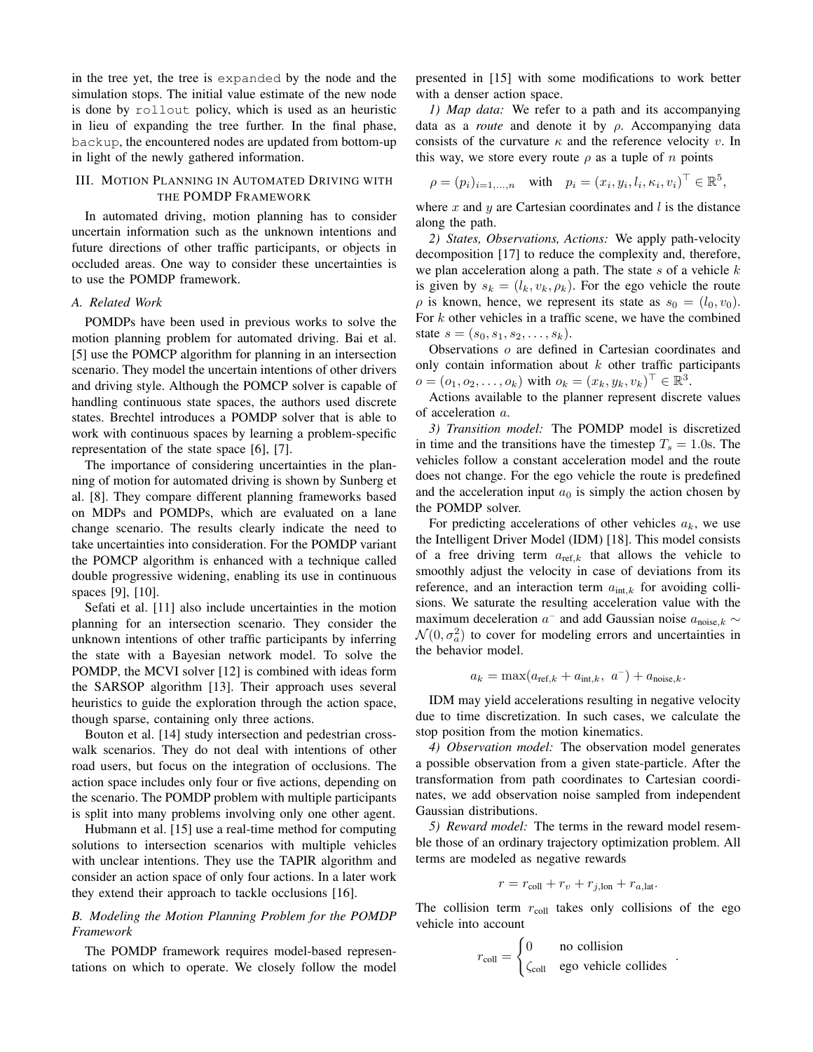in the tree yet, the tree is expanded by the node and the simulation stops. The initial value estimate of the new node is done by rollout policy, which is used as an heuristic in lieu of expanding the tree further. In the final phase, backup, the encountered nodes are updated from bottom-up in light of the newly gathered information.

## <span id="page-1-0"></span>III. MOTION PLANNING IN AUTOMATED DRIVING WITH THE POMDP FRAMEWORK

In automated driving, motion planning has to consider uncertain information such as the unknown intentions and future directions of other traffic participants, or objects in occluded areas. One way to consider these uncertainties is to use the POMDP framework.

#### *A. Related Work*

POMDPs have been used in previous works to solve the motion planning problem for automated driving. Bai et al. [5] use the POMCP algorithm for planning in an intersection scenario. They model the uncertain intentions of other drivers and driving style. Although the POMCP solver is capable of handling continuous state spaces, the authors used discrete states. Brechtel introduces a POMDP solver that is able to work with continuous spaces by learning a problem-specific representation of the state space [6], [7].

The importance of considering uncertainties in the planning of motion for automated driving is shown by Sunberg et al. [8]. They compare different planning frameworks based on MDPs and POMDPs, which are evaluated on a lane change scenario. The results clearly indicate the need to take uncertainties into consideration. For the POMDP variant the POMCP algorithm is enhanced with a technique called double progressive widening, enabling its use in continuous spaces [9], [10].

Sefati et al. [11] also include uncertainties in the motion planning for an intersection scenario. They consider the unknown intentions of other traffic participants by inferring the state with a Bayesian network model. To solve the POMDP, the MCVI solver [12] is combined with ideas form the SARSOP algorithm [13]. Their approach uses several heuristics to guide the exploration through the action space, though sparse, containing only three actions.

Bouton et al. [14] study intersection and pedestrian crosswalk scenarios. They do not deal with intentions of other road users, but focus on the integration of occlusions. The action space includes only four or five actions, depending on the scenario. The POMDP problem with multiple participants is split into many problems involving only one other agent.

Hubmann et al. [15] use a real-time method for computing solutions to intersection scenarios with multiple vehicles with unclear intentions. They use the TAPIR algorithm and consider an action space of only four actions. In a later work they extend their approach to tackle occlusions [16].

## *B. Modeling the Motion Planning Problem for the POMDP Framework*

The POMDP framework requires model-based representations on which to operate. We closely follow the model presented in [15] with some modifications to work better with a denser action space.

*1) Map data:* We refer to a path and its accompanying data as a *route* and denote it by ρ. Accompanying data consists of the curvature  $\kappa$  and the reference velocity v. In this way, we store every route  $\rho$  as a tuple of n points

$$
\rho = (p_i)_{i=1,\dots,n} \quad \text{with} \quad p_i = (x_i, y_i, l_i, \kappa_i, v_i)^\top \in \mathbb{R}^5,
$$

where x and y are Cartesian coordinates and  $l$  is the distance along the path.

*2) States, Observations, Actions:* We apply path-velocity decomposition [17] to reduce the complexity and, therefore, we plan acceleration along a path. The state  $s$  of a vehicle  $k$ is given by  $s_k = (l_k, v_k, \rho_k)$ . For the ego vehicle the route  $\rho$  is known, hence, we represent its state as  $s_0 = (l_0, v_0)$ . For  $k$  other vehicles in a traffic scene, we have the combined state  $s = (s_0, s_1, s_2, \ldots, s_k)$ .

Observations o are defined in Cartesian coordinates and only contain information about  $k$  other traffic participants  $o = (o_1, o_2, \dots, o_k)$  with  $o_k = (x_k, y_k, v_k)^\top \in \mathbb{R}^3$ .

Actions available to the planner represent discrete values of acceleration a.

*3) Transition model:* The POMDP model is discretized in time and the transitions have the timestep  $T_s = 1.0$ s. The vehicles follow a constant acceleration model and the route does not change. For the ego vehicle the route is predefined and the acceleration input  $a_0$  is simply the action chosen by the POMDP solver.

For predicting accelerations of other vehicles  $a_k$ , we use the Intelligent Driver Model (IDM) [18]. This model consists of a free driving term  $a_{\text{ref.}k}$  that allows the vehicle to smoothly adjust the velocity in case of deviations from its reference, and an interaction term  $a_{int,k}$  for avoiding collisions. We saturate the resulting acceleration value with the maximum deceleration  $a^-$  and add Gaussian noise  $a_{\text{noise},k} \sim$  $\mathcal{N}(0, \sigma_a^2)$  to cover for modeling errors and uncertainties in the behavior model.

$$
a_k = \max(a_{\text{ref},k} + a_{\text{int},k}, a^{-}) + a_{\text{noise},k}.
$$

IDM may yield accelerations resulting in negative velocity due to time discretization. In such cases, we calculate the stop position from the motion kinematics.

*4) Observation model:* The observation model generates a possible observation from a given state-particle. After the transformation from path coordinates to Cartesian coordinates, we add observation noise sampled from independent Gaussian distributions.

*5) Reward model:* The terms in the reward model resemble those of an ordinary trajectory optimization problem. All terms are modeled as negative rewards

$$
r = r_{\text{coll}} + r_v + r_{j,\text{lon}} + r_{a,\text{lat}}.
$$

The collision term  $r_{\text{coll}}$  takes only collisions of the ego vehicle into account

$$
r_{\text{coll}} = \begin{cases} 0 & \text{no collision} \\ \zeta_{\text{coll}} & \text{ego vehicle collides} \end{cases}
$$

.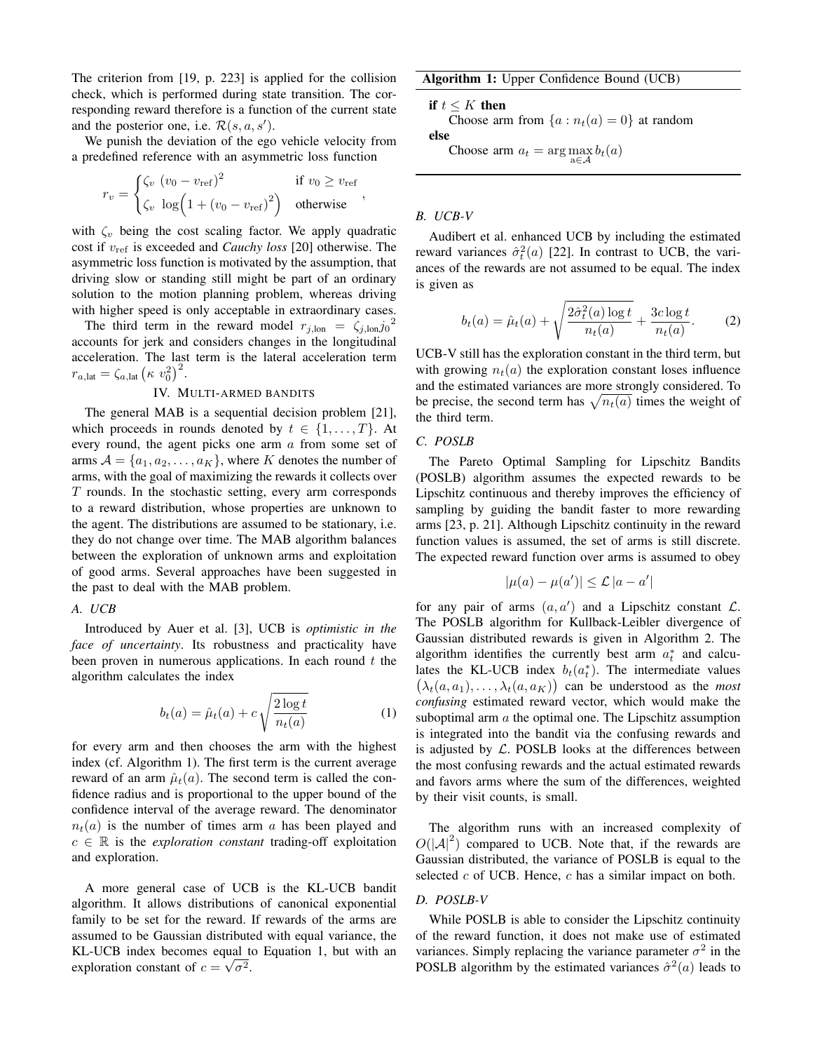The criterion from [19, p. 223] is applied for the collision check, which is performed during state transition. The corresponding reward therefore is a function of the current state and the posterior one, i.e.  $\mathcal{R}(s, a, s')$ .

We punish the deviation of the ego vehicle velocity from a predefined reference with an asymmetric loss function

$$
r_v = \begin{cases} \zeta_v (v_0 - v_{\text{ref}})^2 & \text{if } v_0 \ge v_{\text{ref}} \\ \zeta_v \log(1 + (v_0 - v_{\text{ref}})^2) & \text{otherwise} \end{cases},
$$

with  $\zeta_v$  being the cost scaling factor. We apply quadratic cost if vref is exceeded and *Cauchy loss* [20] otherwise. The asymmetric loss function is motivated by the assumption, that driving slow or standing still might be part of an ordinary solution to the motion planning problem, whereas driving with higher speed is only acceptable in extraordinary cases.

The third term in the reward model  $r_{j,lon} = \zeta_{j,lon} j_0^2$ accounts for jerk and considers changes in the longitudinal acceleration. The last term is the lateral acceleration term  $r_{a,\text{lat}} = \zeta_{a,\text{lat}} \left( \kappa \ v_0^2 \right)^2.$ 

#### IV. MULTI-ARMED BANDITS

<span id="page-2-0"></span>The general MAB is a sequential decision problem [21], which proceeds in rounds denoted by  $t \in \{1, \ldots, T\}$ . At every round, the agent picks one arm a from some set of arms  $A = \{a_1, a_2, \ldots, a_K\}$ , where K denotes the number of arms, with the goal of maximizing the rewards it collects over  $T$  rounds. In the stochastic setting, every arm corresponds to a reward distribution, whose properties are unknown to the agent. The distributions are assumed to be stationary, i.e. they do not change over time. The MAB algorithm balances between the exploration of unknown arms and exploitation of good arms. Several approaches have been suggested in the past to deal with the MAB problem.

#### *A. UCB*

Introduced by Auer et al. [3], UCB is *optimistic in the face of uncertainty*. Its robustness and practicality have been proven in numerous applications. In each round  $t$  the algorithm calculates the index

<span id="page-2-2"></span>
$$
b_t(a) = \hat{\mu}_t(a) + c \sqrt{\frac{2\log t}{n_t(a)}} \tag{1}
$$

for every arm and then chooses the arm with the highest index (cf. Algorithm [1\)](#page-2-1). The first term is the current average reward of an arm  $\hat{\mu}_t(a)$ . The second term is called the confidence radius and is proportional to the upper bound of the confidence interval of the average reward. The denominator  $n_t(a)$  is the number of times arm a has been played and  $c \in \mathbb{R}$  is the *exploration constant* trading-off exploitation and exploration.

A more general case of UCB is the KL-UCB bandit algorithm. It allows distributions of canonical exponential family to be set for the reward. If rewards of the arms are assumed to be Gaussian distributed with equal variance, the KL-UCB index becomes equal to Equation [1,](#page-2-2) but with an exploration constant of  $c = \sqrt{\sigma^2}$ .

Algorithm 1: Upper Confidence Bound (UCB)

if  $t \leq K$  then

Choose arm from  $\{a : n_t(a) = 0\}$  at random else

<span id="page-2-1"></span>Choose arm  $a_t = \arg \max_{a \in \mathcal{A}} b_t(a)$ 

## *B. UCB-V*

Audibert et al. enhanced UCB by including the estimated reward variances  $\hat{\sigma}_t^2(a)$  [22]. In contrast to UCB, the variances of the rewards are not assumed to be equal. The index is given as

$$
b_t(a) = \hat{\mu}_t(a) + \sqrt{\frac{2\hat{\sigma}_t^2(a)\log t}{n_t(a)}} + \frac{3c\log t}{n_t(a)}.
$$
 (2)

UCB-V still has the exploration constant in the third term, but with growing  $n_t(a)$  the exploration constant loses influence and the estimated variances are more strongly considered. To be precise, the second term has  $\sqrt{n_t(a)}$  times the weight of the third term.

### *C. POSLB*

The Pareto Optimal Sampling for Lipschitz Bandits (POSLB) algorithm assumes the expected rewards to be Lipschitz continuous and thereby improves the efficiency of sampling by guiding the bandit faster to more rewarding arms [23, p. 21]. Although Lipschitz continuity in the reward function values is assumed, the set of arms is still discrete. The expected reward function over arms is assumed to obey

$$
|\mu(a) - \mu(a')| \leq \mathcal{L} |a - a'|
$$

for any pair of arms  $(a, a')$  and a Lipschitz constant  $\mathcal{L}$ . The POSLB algorithm for Kullback-Leibler divergence of Gaussian distributed rewards is given in Algorithm [2.](#page-3-1) The algorithm identifies the currently best arm  $a_t^*$  and calculates the KL-UCB index  $b_t(a_t^*)$ . The intermediate values  $(\lambda_t(a, a_1), \dots, \lambda_t(a, a_K))$  can be understood as the *most confusing* estimated reward vector, which would make the suboptimal arm a the optimal one. The Lipschitz assumption is integrated into the bandit via the confusing rewards and is adjusted by  $\mathcal{L}$ . POSLB looks at the differences between the most confusing rewards and the actual estimated rewards and favors arms where the sum of the differences, weighted by their visit counts, is small.

The algorithm runs with an increased complexity of  $O(|A|^2)$  compared to UCB. Note that, if the rewards are Gaussian distributed, the variance of POSLB is equal to the selected  $c$  of UCB. Hence,  $c$  has a similar impact on both.

#### *D. POSLB-V*

While POSLB is able to consider the Lipschitz continuity of the reward function, it does not make use of estimated variances. Simply replacing the variance parameter  $\sigma^2$  in the POSLB algorithm by the estimated variances  $\hat{\sigma}^2(a)$  leads to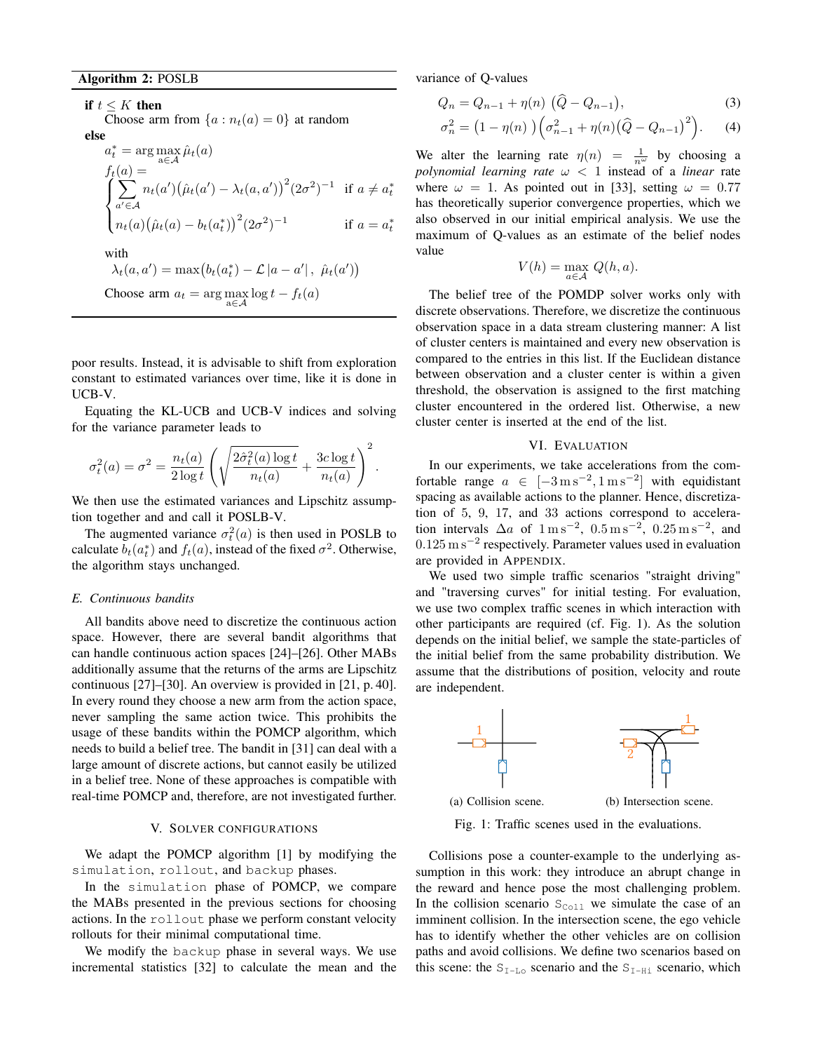if  $t \leq K$  then Choose arm from  $\{a : n_t(a) = 0\}$  at random else  $a_t^*$  $t_t^* = \arg \max_{a \in \mathcal{A}} \hat{\mu}_t(a)$ <sup>1</sup>  $f_t(a) =$  $\int$  $\overline{\mathcal{L}}$  $\sum$  $a' \in \mathcal{A}$  $n_t(a')(\hat{\mu}_t(a') - \lambda_t(a, a'))^2 (2\sigma^2)^{-1}$  if  $a \neq a_t^*$  $n_t(a)(\hat{\mu}_t(a) - b_t(a_t^*))^2 (2\sigma^2)^{-1}$  if  $a = a_t^*$ with  $\lambda_t(a, a') = \max(b_t(a_t^*) - \mathcal{L} |a - a'|, \hat{\mu}_t(a'))$ Choose arm  $a_t = \arg \max_{a \in \mathcal{A}} \log t - f_t(a)$ 

<span id="page-3-1"></span>poor results. Instead, it is advisable to shift from exploration constant to estimated variances over time, like it is done in UCB-V.

Equating the KL-UCB and UCB-V indices and solving for the variance parameter leads to

$$
\sigma_t^2(a) = \sigma^2 = \frac{n_t(a)}{2\log t} \left( \sqrt{\frac{2\hat{\sigma}_t^2(a)\log t}{n_t(a)}} + \frac{3c\log t}{n_t(a)} \right)^2.
$$

We then use the estimated variances and Lipschitz assumption together and and call it POSLB-V.

The augmented variance  $\sigma_t^2(a)$  is then used in POSLB to calculate  $b_t(a_t^*)$  and  $f_t(a)$ , instead of the fixed  $\sigma^2$ . Otherwise, the algorithm stays unchanged.

#### *E. Continuous bandits*

All bandits above need to discretize the continuous action space. However, there are several bandit algorithms that can handle continuous action spaces [24]–[26]. Other MABs additionally assume that the returns of the arms are Lipschitz continuous [27]–[30]. An overview is provided in [21, p. 40]. In every round they choose a new arm from the action space, never sampling the same action twice. This prohibits the usage of these bandits within the POMCP algorithm, which needs to build a belief tree. The bandit in [31] can deal with a large amount of discrete actions, but cannot easily be utilized in a belief tree. None of these approaches is compatible with real-time POMCP and, therefore, are not investigated further.

#### V. SOLVER CONFIGURATIONS

<span id="page-3-0"></span>We adapt the POMCP algorithm [1] by modifying the simulation, rollout, and backup phases.

In the simulation phase of POMCP, we compare the MABs presented in the previous sections for choosing actions. In the rollout phase we perform constant velocity rollouts for their minimal computational time.

We modify the backup phase in several ways. We use incremental statistics [32] to calculate the mean and the variance of Q-values

$$
Q_n = Q_{n-1} + \eta(n) \left( \widehat{Q} - Q_{n-1} \right), \tag{3}
$$

$$
\sigma_n^2 = \left(1 - \eta(n)\right) \left(\sigma_{n-1}^2 + \eta(n)\left(\widehat{Q} - Q_{n-1}\right)^2\right). \tag{4}
$$

We alter the learning rate  $\eta(n) = \frac{1}{n^{\omega}}$  by choosing a *polynomial learning rate*  $\omega < 1$  instead of a *linear* rate where  $\omega = 1$ . As pointed out in [33], setting  $\omega = 0.77$ has theoretically superior convergence properties, which we also observed in our initial empirical analysis. We use the maximum of Q-values as an estimate of the belief nodes value

$$
V(h) = \max_{a \in \mathcal{A}} Q(h, a).
$$

The belief tree of the POMDP solver works only with discrete observations. Therefore, we discretize the continuous observation space in a data stream clustering manner: A list of cluster centers is maintained and every new observation is compared to the entries in this list. If the Euclidean distance between observation and a cluster center is within a given threshold, the observation is assigned to the first matching cluster encountered in the ordered list. Otherwise, a new cluster center is inserted at the end of the list.

#### VI. EVALUATION

In our experiments, we take accelerations from the comfortable range  $a \in [-3 \text{ m s}^{-2}, 1 \text{ m s}^{-2}]$  with equidistant spacing as available actions to the planner. Hence, discretization of 5, 9, 17, and 33 actions correspond to acceleration intervals  $\Delta a$  of  $1 \text{ m s}^{-2}$ ,  $0.5 \text{ m s}^{-2}$ ,  $0.25 \text{ m s}^{-2}$ , and  $0.125 \,\mathrm{m\,s^{-2}}$  respectively. Parameter values used in evaluation are provided in APPENDIX.

We used two simple traffic scenarios "straight driving" and "traversing curves" for initial testing. For evaluation, we use two complex traffic scenes in which interaction with other participants are required (cf. Fig. [1\)](#page-3-2). As the solution depends on the initial belief, we sample the state-particles of the initial belief from the same probability distribution. We assume that the distributions of position, velocity and route are independent.

<span id="page-3-2"></span>

Fig. 1: Traffic scenes used in the evaluations.

Collisions pose a counter-example to the underlying assumption in this work: they introduce an abrupt change in the reward and hence pose the most challenging problem. In the collision scenario  $S_{\text{Coll}}$  we simulate the case of an imminent collision. In the intersection scene, the ego vehicle has to identify whether the other vehicles are on collision paths and avoid collisions. We define two scenarios based on this scene: the  $S_{I-L}$  scenario and the  $S_{I-Hi}$  scenario, which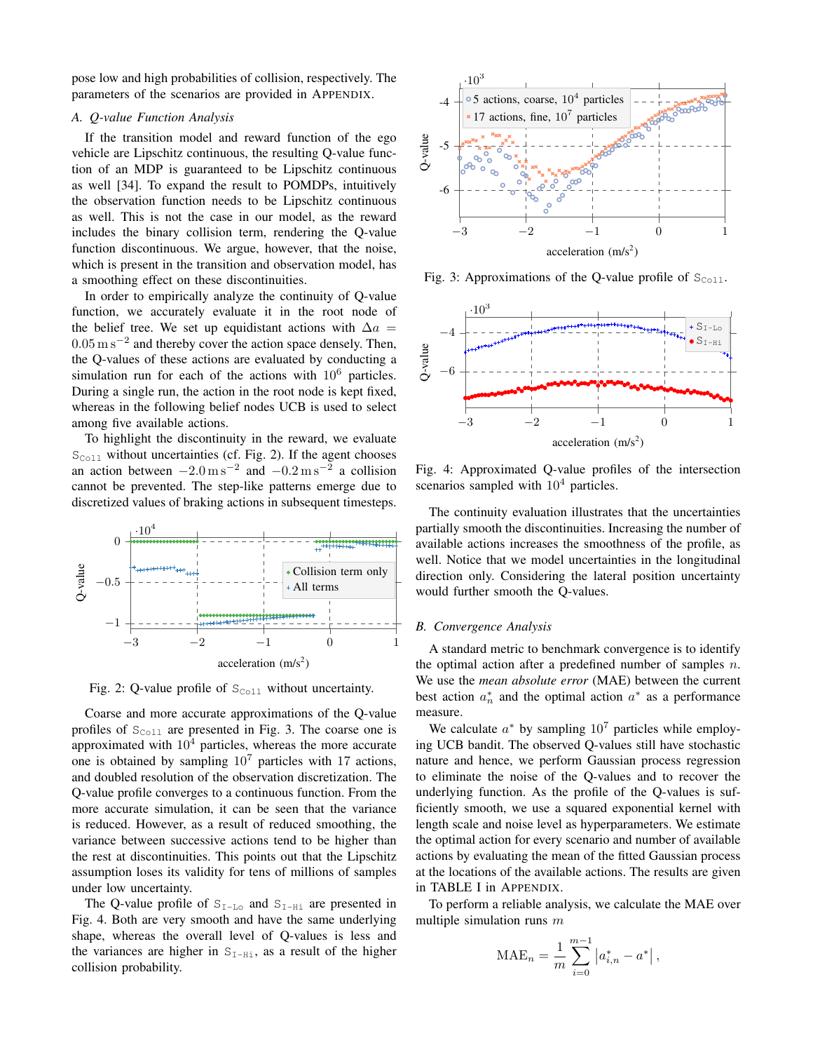pose low and high probabilities of collision, respectively. The parameters of the scenarios are provided in APPENDIX.

#### *A. Q-value Function Analysis*

If the transition model and reward function of the ego vehicle are Lipschitz continuous, the resulting Q-value function of an MDP is guaranteed to be Lipschitz continuous as well [34]. To expand the result to POMDPs, intuitively the observation function needs to be Lipschitz continuous as well. This is not the case in our model, as the reward includes the binary collision term, rendering the Q-value function discontinuous. We argue, however, that the noise, which is present in the transition and observation model, has a smoothing effect on these discontinuities.

In order to empirically analyze the continuity of Q-value function, we accurately evaluate it in the root node of the belief tree. We set up equidistant actions with  $\Delta a =$  $0.05 \text{ m s}^{-2}$  and thereby cover the action space densely. Then, the Q-values of these actions are evaluated by conducting a simulation run for each of the actions with  $10^6$  particles. During a single run, the action in the root node is kept fixed, whereas in the following belief nodes UCB is used to select among five available actions.

To highlight the discontinuity in the reward, we evaluate  $S_{\text{Coll}}$  without uncertainties (cf. Fig. [2\)](#page-4-0). If the agent chooses an action between  $-2.0 \,\mathrm{m\,s^{-2}}$  and  $-0.2 \,\mathrm{m\,s^{-2}}$  a collision cannot be prevented. The step-like patterns emerge due to discretized values of braking actions in subsequent timesteps.

<span id="page-4-0"></span>

Fig. 2: Q-value profile of  $S_{\text{Coll}}$  without uncertainty.

Coarse and more accurate approximations of the Q-value profiles of  $S_{\text{Coll}}$  are presented in Fig. [3.](#page-4-1) The coarse one is approximated with  $10<sup>4</sup>$  particles, whereas the more accurate one is obtained by sampling  $10<sup>7</sup>$  particles with 17 actions, and doubled resolution of the observation discretization. The Q-value profile converges to a continuous function. From the more accurate simulation, it can be seen that the variance is reduced. However, as a result of reduced smoothing, the variance between successive actions tend to be higher than the rest at discontinuities. This points out that the Lipschitz assumption loses its validity for tens of millions of samples under low uncertainty.

The Q-value profile of  $S_{I-L_0}$  and  $S_{I-L_1}$  are presented in Fig. [4.](#page-4-2) Both are very smooth and have the same underlying shape, whereas the overall level of Q-values is less and the variances are higher in  $S_{I-Hi}$ , as a result of the higher collision probability.

<span id="page-4-1"></span>

Fig. 3: Approximations of the Q-value profile of  $S_{\text{Coll}}$ .

<span id="page-4-2"></span>

Fig. 4: Approximated Q-value profiles of the intersection scenarios sampled with  $10<sup>4</sup>$  particles.

The continuity evaluation illustrates that the uncertainties partially smooth the discontinuities. Increasing the number of available actions increases the smoothness of the profile, as well. Notice that we model uncertainties in the longitudinal direction only. Considering the lateral position uncertainty would further smooth the Q-values.

#### *B. Convergence Analysis*

A standard metric to benchmark convergence is to identify the optimal action after a predefined number of samples  $n$ . We use the *mean absolute error* (MAE) between the current best action  $a_n^*$  and the optimal action  $a^*$  as a performance measure.

We calculate  $a^*$  by sampling  $10^7$  particles while employing UCB bandit. The observed Q-values still have stochastic nature and hence, we perform Gaussian process regression to eliminate the noise of the Q-values and to recover the underlying function. As the profile of the Q-values is sufficiently smooth, we use a squared exponential kernel with length scale and noise level as hyperparameters. We estimate the optimal action for every scenario and number of available actions by evaluating the mean of the fitted Gaussian process at the locations of the available actions. The results are given in TABLE [I](#page-6-0) in APPENDIX.

To perform a reliable analysis, we calculate the MAE over multiple simulation runs  $m$ 

$$
\text{MAE}_n = \frac{1}{m} \sum_{i=0}^{m-1} |a^*_{i,n} - a^*|,
$$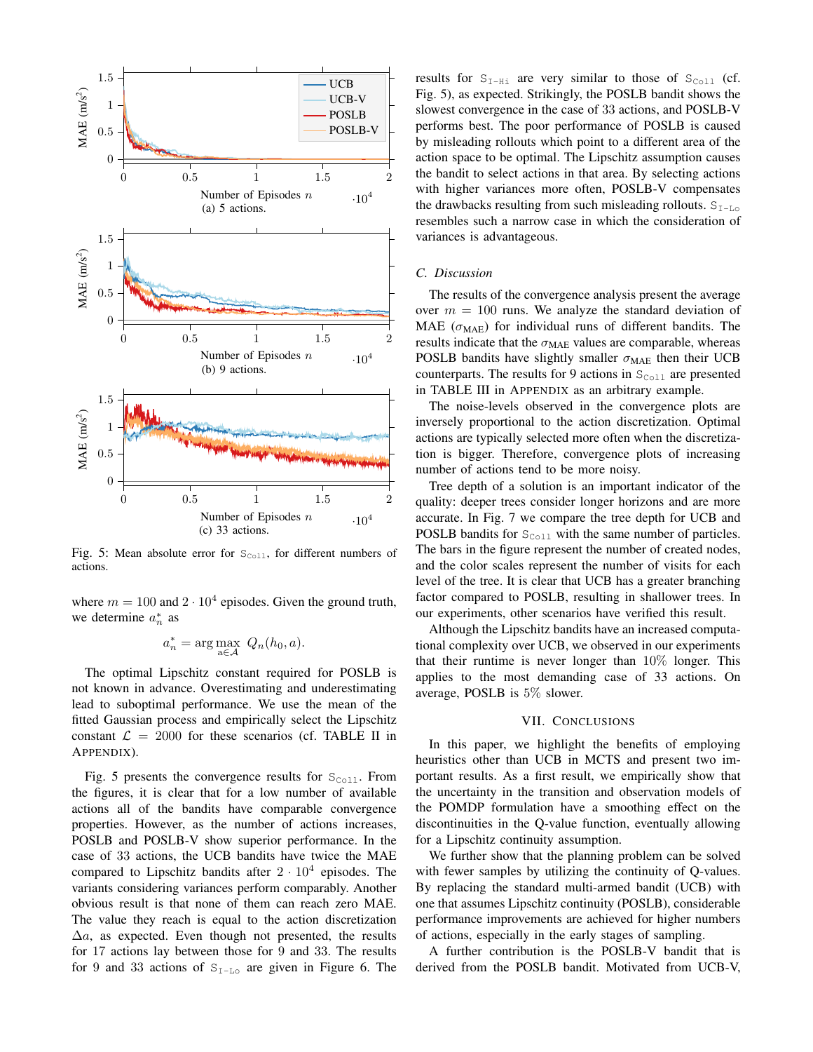<span id="page-5-0"></span>

Fig. 5: Mean absolute error for  $S_{\text{Coll}}$ , for different numbers of actions.

where  $m = 100$  and  $2 \cdot 10^4$  episodes. Given the ground truth, we determine  $a_n^*$  as

$$
a_n^* = \arg\max_{a \in \mathcal{A}} \ Q_n(h_0, a).
$$

The optimal Lipschitz constant required for POSLB is not known in advance. Overestimating and underestimating lead to suboptimal performance. We use the mean of the fitted Gaussian process and empirically select the Lipschitz constant  $\mathcal{L} = 2000$  for these scenarios (cf. TABLE [II](#page-6-1) in APPENDIX).

Fig. [5](#page-5-0) presents the convergence results for  $S_{\text{Coll}}$ . From the figures, it is clear that for a low number of available actions all of the bandits have comparable convergence properties. However, as the number of actions increases, POSLB and POSLB-V show superior performance. In the case of 33 actions, the UCB bandits have twice the MAE compared to Lipschitz bandits after  $2 \cdot 10^4$  episodes. The variants considering variances perform comparably. Another obvious result is that none of them can reach zero MAE. The value they reach is equal to the action discretization  $\Delta a$ , as expected. Even though not presented, the results for 17 actions lay between those for 9 and 33. The results for 9 and 33 actions of  $S_{I-L_0}$  are given in Figure [6.](#page-6-2) The results for  $S_{I-Hi}$  are very similar to those of  $S_{Coll}$  (cf. Fig. [5\)](#page-5-0), as expected. Strikingly, the POSLB bandit shows the slowest convergence in the case of 33 actions, and POSLB-V performs best. The poor performance of POSLB is caused by misleading rollouts which point to a different area of the action space to be optimal. The Lipschitz assumption causes the bandit to select actions in that area. By selecting actions with higher variances more often, POSLB-V compensates the drawbacks resulting from such misleading rollouts.  $S_{I-L_0}$ resembles such a narrow case in which the consideration of variances is advantageous.

#### *C. Discussion*

The results of the convergence analysis present the average over  $m = 100$  runs. We analyze the standard deviation of MAE ( $\sigma_{\text{MAE}}$ ) for individual runs of different bandits. The results indicate that the  $\sigma_{\text{MAE}}$  values are comparable, whereas POSLB bandits have slightly smaller  $\sigma_{\text{MAE}}$  then their UCB counterparts. The results for 9 actions in  $S_{\text{Co11}}$  are presented in TABLE [III](#page-6-3) in APPENDIX as an arbitrary example.

The noise-levels observed in the convergence plots are inversely proportional to the action discretization. Optimal actions are typically selected more often when the discretization is bigger. Therefore, convergence plots of increasing number of actions tend to be more noisy.

Tree depth of a solution is an important indicator of the quality: deeper trees consider longer horizons and are more accurate. In Fig. [7](#page-6-4) we compare the tree depth for UCB and POSLB bandits for  $S_{\text{Coll}}$  with the same number of particles. The bars in the figure represent the number of created nodes, and the color scales represent the number of visits for each level of the tree. It is clear that UCB has a greater branching factor compared to POSLB, resulting in shallower trees. In our experiments, other scenarios have verified this result.

Although the Lipschitz bandits have an increased computational complexity over UCB, we observed in our experiments that their runtime is never longer than  $10\%$  longer. This applies to the most demanding case of 33 actions. On average, POSLB is 5% slower.

#### VII. CONCLUSIONS

In this paper, we highlight the benefits of employing heuristics other than UCB in MCTS and present two important results. As a first result, we empirically show that the uncertainty in the transition and observation models of the POMDP formulation have a smoothing effect on the discontinuities in the Q-value function, eventually allowing for a Lipschitz continuity assumption.

We further show that the planning problem can be solved with fewer samples by utilizing the continuity of Q-values. By replacing the standard multi-armed bandit (UCB) with one that assumes Lipschitz continuity (POSLB), considerable performance improvements are achieved for higher numbers of actions, especially in the early stages of sampling.

A further contribution is the POSLB-V bandit that is derived from the POSLB bandit. Motivated from UCB-V,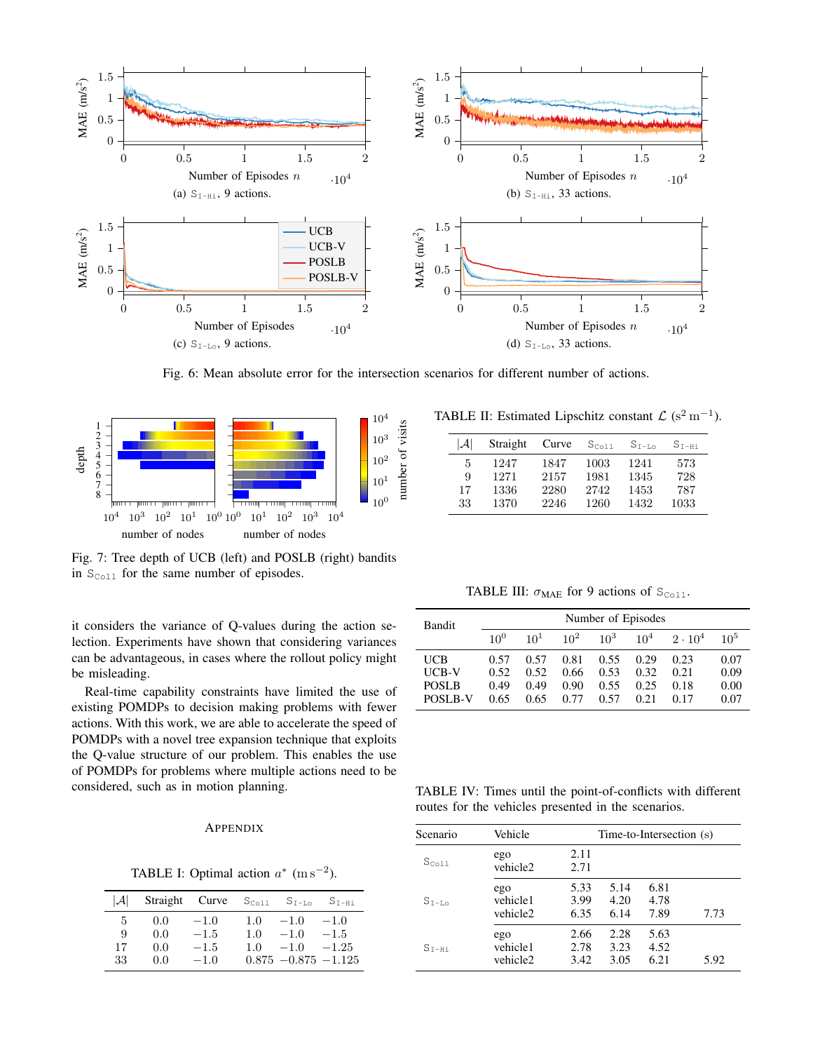<span id="page-6-2"></span>

Fig. 6: Mean absolute error for the intersection scenarios for different number of actions.

<span id="page-6-4"></span>

Fig. 7: Tree depth of UCB (left) and POSLB (right) bandits in  $S_{\text{Coll}}$  for the same number of episodes.

it considers the variance of Q-values during the action selection. Experiments have shown that considering variances can be advantageous, in cases where the rollout policy might be misleading.

Real-time capability constraints have limited the use of existing POMDPs to decision making problems with fewer actions. With this work, we are able to accelerate the speed of POMDPs with a novel tree expansion technique that exploits the Q-value structure of our problem. This enables the use of POMDPs for problems where multiple actions need to be considered, such as in motion planning.

#### **APPENDIX**

TABLE I: Optimal action  $a^*$  (m s<sup>-2</sup>).

<span id="page-6-0"></span>

| I.AI | Straight | Curve  | $S_{C_011}$ | $S_{T-T,0}$             | $S$ <sub>T-Hi</sub> |
|------|----------|--------|-------------|-------------------------|---------------------|
| 5    | 0.0      | $-1.0$ | 1.0         | $-1.0$                  | $-1.0$              |
| 9    | 0.0      | $-1.5$ | 1.0         | $-1.0$                  | $-1.5$              |
| 17   | 0.0      | $-1.5$ | 1.0         | $-1.0$                  | $-1.25$             |
| 33   | 0.0      | $-1.0$ |             | $0.875 - 0.875 - 1.125$ |                     |

<span id="page-6-1"></span>

| TABLE II: Estimated Lipschitz constant $\mathcal{L}$ (s <sup>2</sup> m <sup>-1</sup> ). |  |  |  |  |  |  |  |
|-----------------------------------------------------------------------------------------|--|--|--|--|--|--|--|
|-----------------------------------------------------------------------------------------|--|--|--|--|--|--|--|

| $ \mathcal{A} $ | Straight | Curve | $S_{C_011}$ | $S_{T-T,0}$ | $S$ <sub>T-Hi</sub> |
|-----------------|----------|-------|-------------|-------------|---------------------|
| 5               | 1247     | 1847  | 1003        | 1241        | 573                 |
| 9               | 1271     | 2157  | 1981        | 1345        | 728                 |
| 17              | 1336     | 2280  | 2742        | 1453        | 787                 |
| 33              | 1370     | 2246  | 1260        | 1432        | 1033                |

TABLE III:  $\sigma_{\text{MAE}}$  for 9 actions of S<sub>Coll</sub>.

<span id="page-6-3"></span>

| <b>Bandit</b>  |          | Number of Episodes |        |        |                 |                |          |
|----------------|----------|--------------------|--------|--------|-----------------|----------------|----------|
|                | $10^{0}$ | $10^{1}$           | $10^2$ | $10^3$ | 10 <sup>4</sup> | $2 \cdot 10^4$ | $10^{5}$ |
| UCB            | 0.57     | 0.57               | 0.81   | 0.55   | 0.29            | 0.23           | 0.07     |
| UCB-V          | 0.52     | 0.52               | 0.66   | 0.53   | 0.32            | 0.21           | 0.09     |
| <b>POSLB</b>   | 0.49     | 0.49               | 0.90   | 0.55   | 0.25            | 0.18           | 0.00     |
| <b>POSLB-V</b> | 0.65     | 0.65               | 0.77   | 0.57   | 0.21            | 0.17           | 0.07     |

TABLE IV: Times until the point-of-conflicts with different routes for the vehicles presented in the scenarios.

| Scenario    | Vehicle<br>Time-to-Intersection (s) |                      |                      |                      |      |
|-------------|-------------------------------------|----------------------|----------------------|----------------------|------|
| $S_{Co11}$  | ego<br>vehicle <sub>2</sub>         | 2.11<br>2.71         |                      |                      |      |
| $S_{T-I,0}$ | ego<br>vehicle1<br>vehicle2         | 5.33<br>3.99<br>6.35 | 5.14<br>4.20<br>6.14 | 6.81<br>4.78<br>7.89 | 7.73 |
| $S_{T-Hi}$  | ego<br>vehicle1<br>vehicle2         | 2.66<br>2.78<br>3.42 | 2.28<br>3.23<br>3.05 | 5.63<br>4.52<br>6.21 | 5.92 |